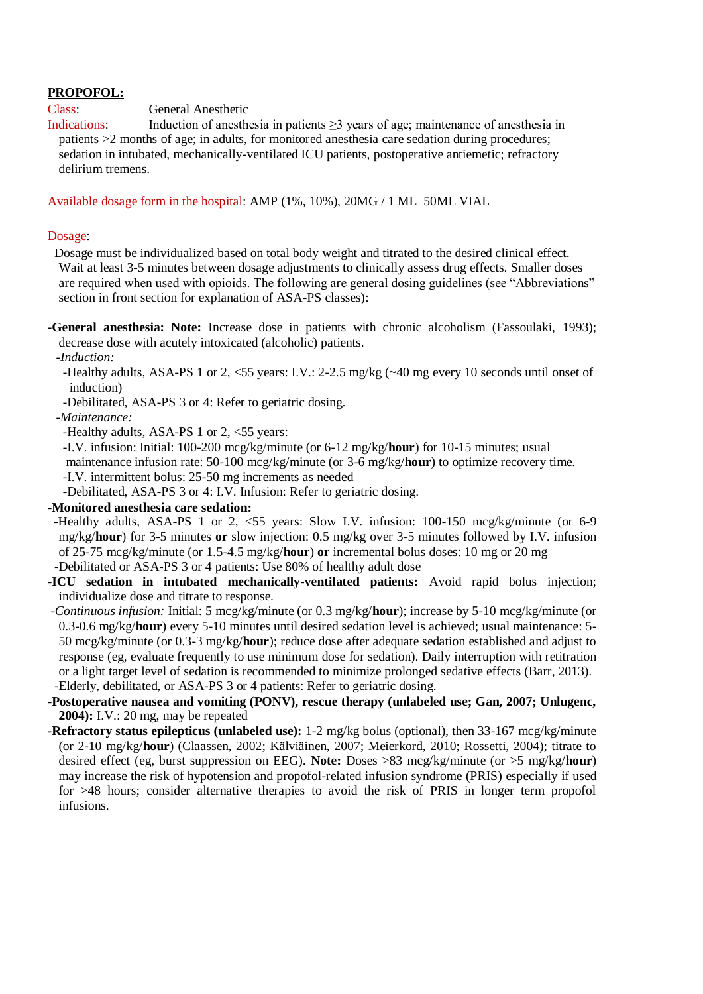# **PROPOFOL:**

Class: General Anesthetic

Indications: Induction of anesthesia in patients ≥3 years of age; maintenance of anesthesia in patients >2 months of age; in adults, for monitored anesthesia care sedation during procedures; sedation in intubated, mechanically-ventilated ICU patients, postoperative antiemetic; refractory delirium tremens.

### Available dosage form in the hospital: AMP (1%, 10%), 20MG / 1 ML 50ML VIAL

#### Dosage:

 Dosage must be individualized based on total body weight and titrated to the desired clinical effect. Wait at least 3-5 minutes between dosage adjustments to clinically assess drug effects. Smaller doses are required when used with opioids. The following are general dosing guidelines (see "Abbreviations" section in front section for explanation of ASA-PS classes):

**-General anesthesia: Note:** Increase dose in patients with chronic alcoholism (Fassoulaki, 1993); decrease dose with acutely intoxicated (alcoholic) patients.

*-Induction:*

 -Healthy adults, ASA-PS 1 or 2, <55 years: I.V.: 2-2.5 mg/kg (~40 mg every 10 seconds until onset of induction)

-Debilitated, ASA-PS 3 or 4: Refer to geriatric dosing.

## *-Maintenance:*

-Healthy adults, ASA-PS 1 or 2, <55 years:

 -I.V. infusion: Initial: 100-200 mcg/kg/minute (or 6-12 mg/kg/**hour**) for 10-15 minutes; usual maintenance infusion rate: 50-100 mcg/kg/minute (or 3-6 mg/kg/**hour**) to optimize recovery time. -I.V. intermittent bolus: 25-50 mg increments as needed

-Debilitated, ASA-PS 3 or 4: I.V. Infusion: Refer to geriatric dosing.

## **-Monitored anesthesia care sedation:**

 -Healthy adults, ASA-PS 1 or 2, <55 years: Slow I.V. infusion: 100-150 mcg/kg/minute (or 6-9 mg/kg/**hour**) for 3-5 minutes **or** slow injection: 0.5 mg/kg over 3-5 minutes followed by I.V. infusion of 25-75 mcg/kg/minute (or 1.5-4.5 mg/kg/**hour**) **or** incremental bolus doses: 10 mg or 20 mg -Debilitated or ASA-PS 3 or 4 patients: Use 80% of healthy adult dose

**-ICU sedation in intubated mechanically-ventilated patients:** Avoid rapid bolus injection;

individualize dose and titrate to response. *-Continuous infusion:* Initial: 5 mcg/kg/minute (or 0.3 mg/kg/**hour**); increase by 5-10 mcg/kg/minute (or 0.3-0.6 mg/kg/**hour**) every 5-10 minutes until desired sedation level is achieved; usual maintenance: 5- 50 mcg/kg/minute (or 0.3-3 mg/kg/**hour**); reduce dose after adequate sedation established and adjust to response (eg, evaluate frequently to use minimum dose for sedation). Daily interruption with retitration or a light target level of sedation is recommended to minimize prolonged sedative effects (Barr, 2013). -Elderly, debilitated, or ASA-PS 3 or 4 patients: Refer to geriatric dosing.

**-Postoperative nausea and vomiting (PONV), rescue therapy (unlabeled use; Gan, 2007; Unlugenc, 2004):** I.V.: 20 mg, may be repeated

**-Refractory status epilepticus (unlabeled use):** 1-2 mg/kg bolus (optional), then 33-167 mcg/kg/minute (or 2-10 mg/kg/**hour**) (Claassen, 2002; Kälviäinen, 2007; Meierkord, 2010; Rossetti, 2004); titrate to desired effect (eg, burst suppression on EEG). **Note:** Doses >83 mcg/kg/minute (or >5 mg/kg/**hour**) may increase the risk of hypotension and propofol-related infusion syndrome (PRIS) especially if used for >48 hours; consider alternative therapies to avoid the risk of PRIS in longer term propofol infusions.